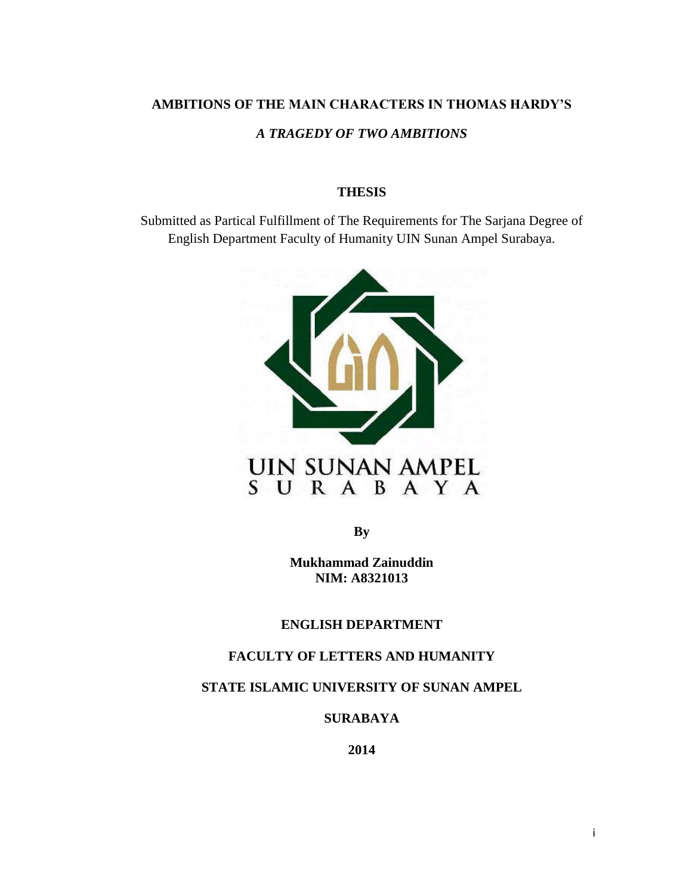# **AMBITIONS OF THE MAIN CHARACTERS IN THOMAS HARDY'S**

## *A TRAGEDY OF TWO AMBITIONS*

#### **THESIS**

Submitted as Partical Fulfillment of The Requirements for The Sarjana Degree of English Department Faculty of Humanity UIN Sunan Ampel Surabaya.



**By**

**Mukhammad Zainuddin NIM: A8321013**

**ENGLISH DEPARTMENT**

## **FACULTY OF LETTERS AND HUMANITY**

**STATE ISLAMIC UNIVERSITY OF SUNAN AMPEL**

**SURABAYA**

**2014**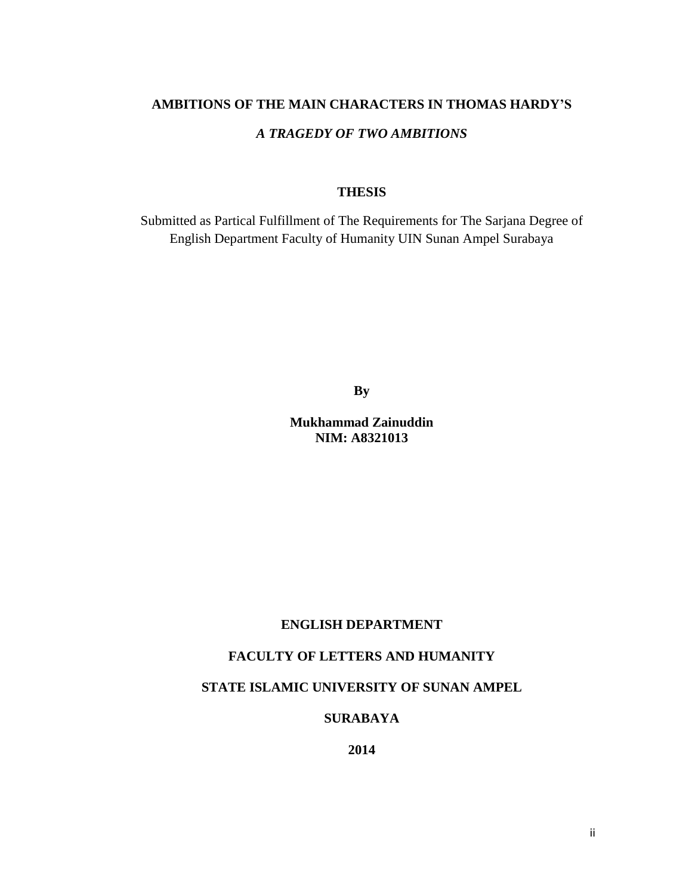## **AMBITIONS OF THE MAIN CHARACTERS IN THOMAS HARDY'S**

## *A TRAGEDY OF TWO AMBITIONS*

#### **THESIS**

Submitted as Partical Fulfillment of The Requirements for The Sarjana Degree of English Department Faculty of Humanity UIN Sunan Ampel Surabaya

**By**

**Mukhammad Zainuddin NIM: A8321013**

#### **ENGLISH DEPARTMENT**

## **FACULTY OF LETTERS AND HUMANITY**

### **STATE ISLAMIC UNIVERSITY OF SUNAN AMPEL**

## **SURABAYA**

**2014**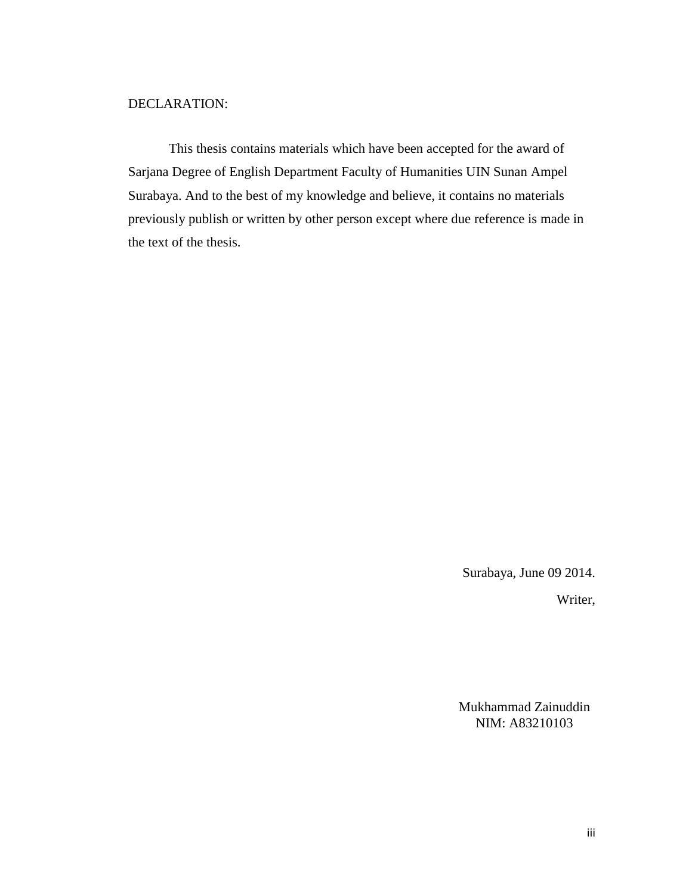### DECLARATION:

This thesis contains materials which have been accepted for the award of Sarjana Degree of English Department Faculty of Humanities UIN Sunan Ampel Surabaya. And to the best of my knowledge and believe, it contains no materials previously publish or written by other person except where due reference is made in the text of the thesis.

Surabaya, June 09 2014.

Writer,

Mukhammad Zainuddin NIM: A83210103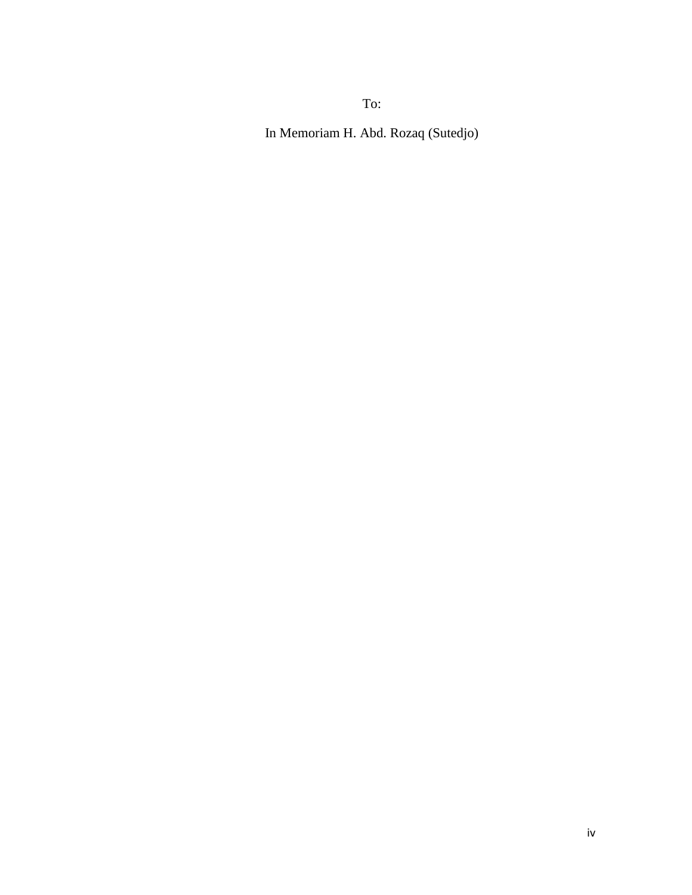To:

In Memoriam H. Abd. Rozaq (Sutedjo)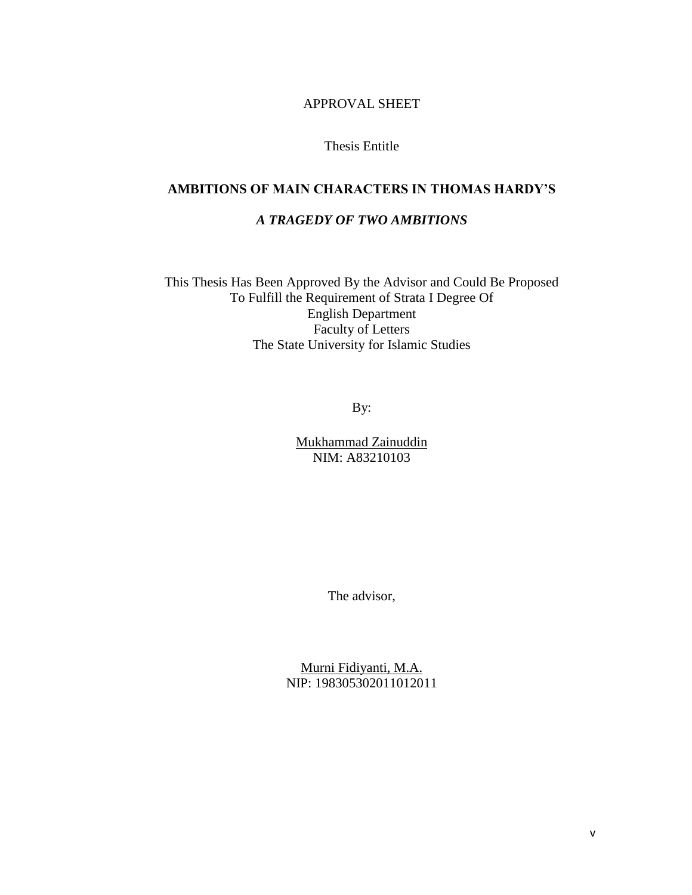APPROVAL SHEET

Thesis Entitle

## **AMBITIONS OF MAIN CHARACTERS IN THOMAS HARDY'S**

## *A TRAGEDY OF TWO AMBITIONS*

This Thesis Has Been Approved By the Advisor and Could Be Proposed To Fulfill the Requirement of Strata I Degree Of English Department Faculty of Letters The State University for Islamic Studies

By:

Mukhammad Zainuddin NIM: A83210103

The advisor,

Murni Fidiyanti, M.A. NIP: 198305302011012011